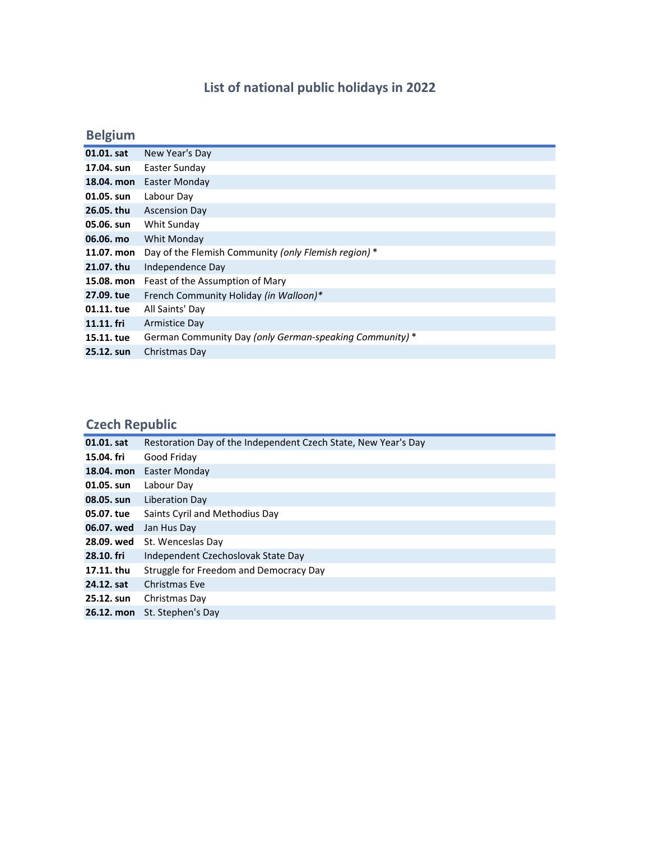# List of national public holidays in 2022

## Belgium

| 01.01. sat | New Year's Day                                          |
|------------|---------------------------------------------------------|
| 17.04. sun | Easter Sunday                                           |
| 18.04. mon | Easter Monday                                           |
| 01.05. sun | Labour Day                                              |
| 26.05. thu | <b>Ascension Day</b>                                    |
| 05.06. sun | Whit Sunday                                             |
| 06.06. mo  | Whit Monday                                             |
| 11.07. mon | Day of the Flemish Community (only Flemish region) *    |
| 21.07. thu | Independence Day                                        |
| 15.08. mon | Feast of the Assumption of Mary                         |
| 27.09. tue | French Community Holiday (in Walloon)*                  |
| 01.11. tue | All Saints' Day                                         |
| 11.11. fri | Armistice Day                                           |
| 15.11. tue | German Community Day (only German-speaking Community) * |
| 25.12. sun | Christmas Day                                           |
|            |                                                         |

# Czech Republic

| 01.01. sat | Restoration Day of the Independent Czech State, New Year's Day |
|------------|----------------------------------------------------------------|
| 15.04. fri | Good Friday                                                    |
| 18.04. mon | Easter Monday                                                  |
| 01.05. sun | Labour Day                                                     |
| 08.05. sun | Liberation Day                                                 |
| 05.07. tue | Saints Cyril and Methodius Day                                 |
| 06.07. wed | Jan Hus Day                                                    |
| 28.09. wed | St. Wenceslas Day                                              |
| 28.10. fri | Independent Czechoslovak State Day                             |
| 17.11. thu | Struggle for Freedom and Democracy Day                         |
| 24.12. sat | Christmas Eve                                                  |
| 25.12. sun | Christmas Day                                                  |
| 26.12. mon | St. Stephen's Day                                              |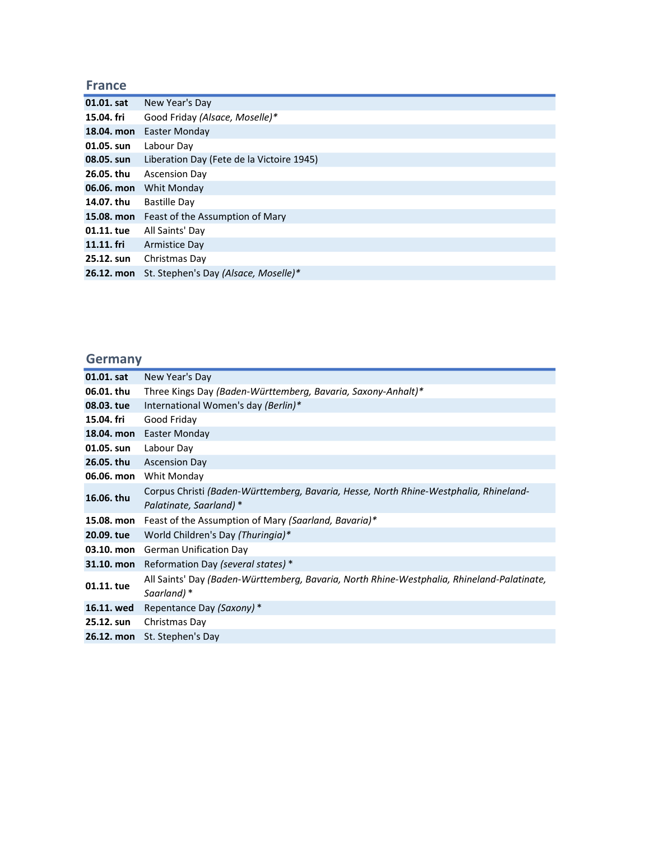#### France

| 01.01. sat | New Year's Day                                    |
|------------|---------------------------------------------------|
| 15.04. fri | Good Friday (Alsace, Moselle)*                    |
| 18.04. mon | Easter Monday                                     |
| 01.05. sun | Labour Day                                        |
| 08.05. sun | Liberation Day (Fete de la Victoire 1945)         |
| 26.05. thu | <b>Ascension Day</b>                              |
| 06.06. mon | Whit Monday                                       |
| 14.07. thu | Bastille Day                                      |
|            | <b>15.08. mon</b> Feast of the Assumption of Mary |
| 01.11. tue | All Saints' Day                                   |
| 11.11. fri | Armistice Day                                     |
| 25.12. sun | Christmas Day                                     |
| 26.12. mon | St. Stephen's Day (Alsace, Moselle)*              |

# **Germany**

| 01.01. sat | New Year's Day                                                                                                   |
|------------|------------------------------------------------------------------------------------------------------------------|
| 06.01. thu | Three Kings Day (Baden-Württemberg, Bavaria, Saxony-Anhalt)*                                                     |
| 08.03. tue | International Women's day (Berlin)*                                                                              |
| 15.04. fri | Good Friday                                                                                                      |
| 18.04. mon | Easter Monday                                                                                                    |
| 01.05. sun | Labour Day                                                                                                       |
| 26.05. thu | <b>Ascension Day</b>                                                                                             |
| 06.06. mon | Whit Monday                                                                                                      |
| 16.06. thu | Corpus Christi (Baden-Württemberg, Bavaria, Hesse, North Rhine-Westphalia, Rhineland-<br>Palatinate, Saarland) * |
| 15.08. mon | Feast of the Assumption of Mary (Saarland, Bavaria)*                                                             |
| 20.09. tue | World Children's Day (Thuringia)*                                                                                |
| 03.10. mon | <b>German Unification Day</b>                                                                                    |
|            | <b>31.10. mon</b> Reformation Day (several states) *                                                             |
| 01.11. tue | All Saints' Day (Baden-Württemberg, Bavaria, North Rhine-Westphalia, Rhineland-Palatinate,<br>Saarland) *        |
| 16.11. wed | Repentance Day (Saxony) *                                                                                        |
| 25.12. sun | Christmas Day                                                                                                    |
| 26.12. mon | St. Stephen's Day                                                                                                |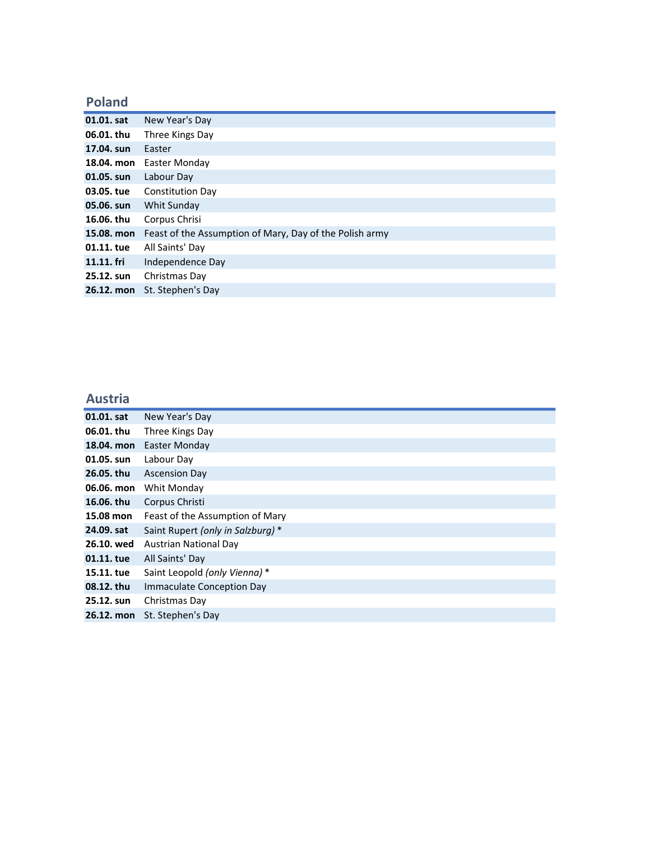| <b>Poland</b> |                                                         |
|---------------|---------------------------------------------------------|
| 01.01. sat    | New Year's Day                                          |
| 06.01. thu    | Three Kings Day                                         |
| 17.04. sun    | Easter                                                  |
| 18.04. mon    | Easter Monday                                           |
| 01.05. sun    | Labour Day                                              |
| 03.05. tue    | <b>Constitution Day</b>                                 |
| 05.06. sun    | Whit Sunday                                             |
| 16.06. thu    | Corpus Chrisi                                           |
| 15.08. mon    | Feast of the Assumption of Mary, Day of the Polish army |
| 01.11. tue    | All Saints' Day                                         |
| 11.11. fri    | Independence Day                                        |
| 25.12. sun    | Christmas Day                                           |
| 26.12. mon    | St. Stephen's Day                                       |
|               |                                                         |

#### Austria

| 01.01. sat | New Year's Day                    |
|------------|-----------------------------------|
| 06.01. thu | Three Kings Day                   |
| 18.04. mon | Easter Monday                     |
| 01.05. sun | Labour Day                        |
| 26.05. thu | <b>Ascension Day</b>              |
| 06.06. mon | Whit Monday                       |
| 16.06. thu | Corpus Christi                    |
| 15.08 mon  | Feast of the Assumption of Mary   |
| 24.09. sat | Saint Rupert (only in Salzburg) * |
| 26.10. wed | <b>Austrian National Day</b>      |
| 01.11. tue | All Saints' Day                   |
| 15.11. tue | Saint Leopold (only Vienna) *     |
| 08.12. thu | Immaculate Conception Day         |
| 25.12. sun | Christmas Day                     |
| 26.12. mon | St. Stephen's Day                 |
|            |                                   |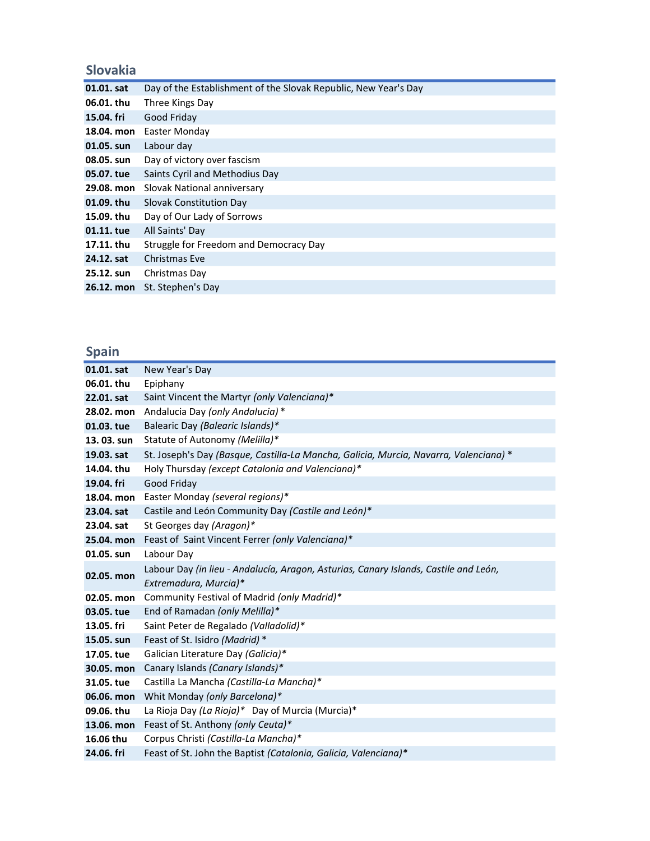#### Slovakia

| 01.01. sat | Day of the Establishment of the Slovak Republic, New Year's Day |
|------------|-----------------------------------------------------------------|
| 06.01. thu | Three Kings Day                                                 |
| 15.04. fri | Good Friday                                                     |
| 18.04. mon | Easter Monday                                                   |
| 01.05. sun | Labour day                                                      |
| 08.05. sun | Day of victory over fascism                                     |
| 05.07. tue | Saints Cyril and Methodius Day                                  |
| 29.08. mon | Slovak National anniversary                                     |
| 01.09. thu | Slovak Constitution Day                                         |
| 15.09. thu | Day of Our Lady of Sorrows                                      |
| 01.11. tue | All Saints' Day                                                 |
| 17.11. thu | Struggle for Freedom and Democracy Day                          |
| 24.12. sat | Christmas Eve                                                   |
| 25.12. sun | Christmas Day                                                   |
| 26.12. mon | St. Stephen's Day                                               |

## Spain

| 01.01. sat | New Year's Day                                                                        |
|------------|---------------------------------------------------------------------------------------|
| 06.01. thu | Epiphany                                                                              |
| 22.01. sat | Saint Vincent the Martyr (only Valenciana)*                                           |
| 28.02. mon | Andalucia Day (only Andalucia) *                                                      |
| 01.03. tue | Balearic Day (Balearic Islands)*                                                      |
| 13.03. sun | Statute of Autonomy (Melilla)*                                                        |
| 19.03. sat | St. Joseph's Day (Basque, Castilla-La Mancha, Galicia, Murcia, Navarra, Valenciana) * |
| 14.04. thu | Holy Thursday (except Catalonia and Valenciana)*                                      |
| 19.04. fri | Good Friday                                                                           |
| 18.04. mon | Easter Monday (several regions)*                                                      |
| 23.04. sat | Castile and León Community Day (Castile and León)*                                    |
| 23.04. sat | St Georges day (Aragon)*                                                              |
|            | 25.04. mon Feast of Saint Vincent Ferrer (only Valenciana)*                           |
| 01.05. sun | Labour Day                                                                            |
| 02.05. mon | Labour Day (in lieu - Andalucía, Aragon, Asturias, Canary Islands, Castile and León,  |
|            | Extremadura, Murcia)*                                                                 |
| 02.05. mon | Community Festival of Madrid (only Madrid)*                                           |
| 03.05. tue | End of Ramadan (only Melilla)*                                                        |
| 13.05. fri | Saint Peter de Regalado (Valladolid)*                                                 |
| 15.05. sun | Feast of St. Isidro (Madrid) *                                                        |
| 17.05. tue | Galician Literature Day (Galicia)*                                                    |
| 30.05. mon | Canary Islands (Canary Islands)*                                                      |
| 31.05. tue | Castilla La Mancha (Castilla-La Mancha)*                                              |
| 06.06. mon | Whit Monday (only Barcelona)*                                                         |
| 09.06. thu | La Rioja Day (La Rioja)* Day of Murcia (Murcia)*                                      |
| 13.06. mon | Feast of St. Anthony (only Ceuta)*                                                    |
| 16.06 thu  | Corpus Christi (Castilla-La Mancha)*                                                  |
| 24.06. fri | Feast of St. John the Baptist (Catalonia, Galicia, Valenciana)*                       |